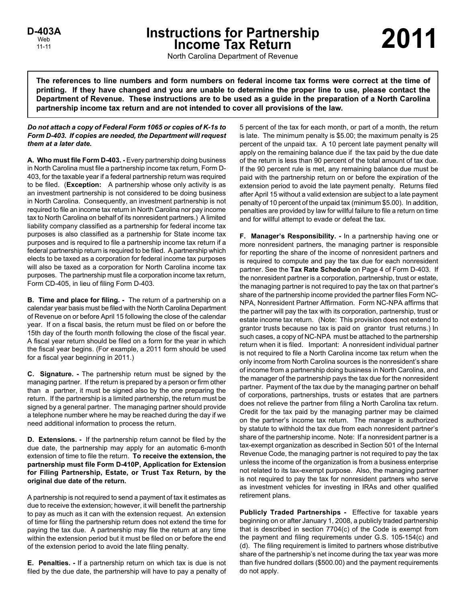# **Instructions for Partnership**<br>
Income Tax Return<br> **P-403A**<br> **D-403A**<br> **D-403A**

North Carolina Department of Revenue

**The references to line numbers and form numbers on federal income tax forms were correct at the time of printing. If they have changed and you are unable to determine the proper line to use, please contact the Department of Revenue. These instructions are to be used as a guide in the preparation of a North Carolina partnership income tax return and are not intended to cover all provisions of the law.**

# *Do not attach a copy of Federal Form 1065 or copies of K-1s to Form D-403. If copies are needed, the Department will request them at a later date.*

**A. Who must file Form D-403. -** Every partnership doing business in North Carolina must file a partnership income tax return, Form D-403, for the taxable year if a federal partnership return was required to be filed. (**Exception:** A partnership whose only activity is as an investment partnership is not considered to be doing business in North Carolina. Consequently, an investment partnership is not required to file an income tax return in North Carolina nor pay income tax to North Carolina on behalf of its nonresident partners.) A limited liability company classified as a partnership for federal income tax purposes is also classified as a partnership for State income tax purposes and is required to file a partnership income tax return if a federal partnership return is required to be filed. A partnership which elects to be taxed as a corporation for federal income tax purposes will also be taxed as a corporation for North Carolina income tax purposes. The partnership must file a corporation income tax return, Form CD-405, in lieu of filing Form D-403.

**B. Time and place for filing. -** The return of a partnership on a calendar year basis must be filed with the North Carolina Department of Revenue on or before April 15 following the close of the calendar year. If on a fiscal basis, the return must be filed on or before the 15th day of the fourth month following the close of the fiscal year. A fiscal year return should be filed on a form for the year in which the fiscal year begins. (For example, a 2011 form should be used for a fiscal year beginning in 2011.)

**C. Signature. -** The partnership return must be signed by the managing partner. If the return is prepared by a person or firm other than a partner, it must be signed also by the one preparing the return. If the partnership is a limited partnership, the return must be signed by a general partner. The managing partner should provide a telephone number where he may be reached during the day if we need additional information to process the return.

**D. Extensions. -** If the partnership return cannot be filed by the due date, the partnership may apply for an automatic 6-month extension of time to file the return. **To receive the extension, the partnership must file Form D-410P, Application for Extension for Filing Partnership, Estate, or Trust Tax Return, by the original due date of the return.**

A partnership is not required to send a payment of tax it estimates as due to receive the extension; however, it will benefit the partnership to pay as much as it can with the extension request. An extension of time for filing the partnership return does not extend the time for paying the tax due. A partnership may file the return at any time within the extension period but it must be filed on or before the end of the extension period to avoid the late filing penalty.

**E. Penalties. -** If a partnership return on which tax is due is not filed by the due date, the partnership will have to pay a penalty of 5 percent of the tax for each month, or part of a month, the return is late. The minimum penalty is \$5.00; the maximum penalty is 25 percent of the unpaid tax. A 10 percent late payment penalty will apply on the remaining balance due if the tax paid by the due date of the return is less than 90 percent of the total amount of tax due. If the 90 percent rule is met, any remaining balance due must be paid with the partnership return on or before the expiration of the extension period to avoid the late payment penalty. Returns filed after April 15 without a valid extension are subject to a late payment penalty of 10 percent of the unpaid tax (minimum \$5.00). In addition, penalties are provided by law for willful failure to file a return on time and for willful attempt to evade or defeat the tax.

**F. Manager's Responsibility. -** In a partnership having one or more nonresident partners, the managing partner is responsible for reporting the share of the income of nonresident partners and is required to compute and pay the tax due for each nonresident partner. See the **Tax Rate Schedule** on Page 4 of Form D-403. If the nonresident partner is a corporation, partnership, trust or estate, the managing partner is not required to pay the tax on that partner's share of the partnership income provided the partner files Form NC-NPA, Nonresident Partner Affirmation. Form NC-NPA affirms that the partner will pay the tax with its corporation, partnership, trust or estate income tax return. (Note: This provision does not extend to grantor trusts because no tax is paid on grantor trust returns.) In such cases, a copy of NC-NPA must be attached to the partnership return when it is filed. Important: A nonresident individual partner is not required to file a North Carolina income tax return when the only income from North Carolina sources is the nonresident's share of income from a partnership doing business in North Carolina, and the manager of the partnership pays the tax due for the nonresident partner. Payment of the tax due by the managing partner on behalf of corporations, partnerships, trusts or estates that are partners does not relieve the partner from filing a North Carolina tax return. Credit for the tax paid by the managing partner may be claimed on the partner's income tax return. The manager is authorized by statute to withhold the tax due from each nonresident partner's share of the partnership income. Note: If a nonresident partner is a tax-exempt organization as described in Section 501 of the Internal Revenue Code, the managing partner is not required to pay the tax unless the income of the organization is from a business enterprise not related to its tax-exempt purpose. Also, the managing partner is not required to pay the tax for nonresident partners who serve as investment vehicles for investing in IRAs and other qualified retirement plans.

**Publicly Traded Partnerships -** Effective for taxable years beginning on or after January 1, 2008, a publicly traded partnership that is described in section 7704(c) of the Code is exempt from the payment and filing requirements under G.S. 105-154(c) and (d). The filing requirement is limited to partners whose distributive share of the partnership's net income during the tax year was more than five hundred dollars (\$500.00) and the payment requirements do not apply.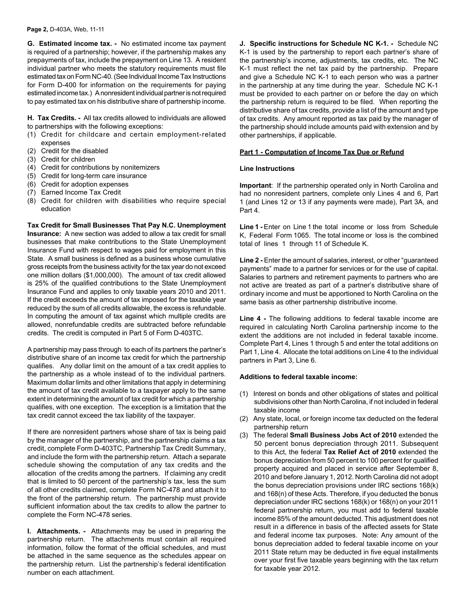#### **Page 2,** D-403A, Web, 11-11

**G. Estimated income tax. -** No estimated income tax payment is required of a partnership; however, if the partnership makes any prepayments of tax, include the prepayment on Line 13. A resident individual partner who meets the statutory requirements must file estimated tax on Form NC-40. (See Individual Income Tax Instructions for Form D-400 for information on the requirements for paying estimated income tax.) A nonresident individual partner is not required to pay estimated tax on his distributive share of partnership income.

**H. Tax Credits. -** All tax credits allowed to individuals are allowed to partnerships with the following exceptions:

- (1) Credit for childcare and certain employment-related expenses
- (2) Credit for the disabled
- (3) Credit for children
- (4) Credit for contributions by nonitemizers
- (5) Credit for long-term care insurance
- (6) Credit for adoption expenses
- (7) Earned Income Tax Credit
- (8) Credit for children with disabilities who require special education

**Tax Credit for Small Businesses That Pay N.C. Unemployment Insurance:** A new section was added to allow a tax credit for small businesses that make contributions to the State Unemployment Insurance Fund with respect to wages paid for employment in this State. A small business is defined as a business whose cumulative gross receipts from the business activity for the tax year do not exceed one million dollars (\$1,000,000). The amount of tax credit allowed is 25% of the qualified contributions to the State Unemployment Insurance Fund and applies to only taxable years 2010 and 2011. If the credit exceeds the amount of tax imposed for the taxable year reduced by the sum of all credits allowable, the excess is refundable. In computing the amount of tax against which multiple credits are allowed, nonrefundable credits are subtracted before refundable credits. The credit is computed in Part 5 of Form D-403TC.

A partnership may pass through to each of its partners the partner's distributive share of an income tax credit for which the partnership qualifies. Any dollar limit on the amount of a tax credit applies to the partnership as a whole instead of to the individual partners. Maximum dollar limits and other limitations that apply in determining the amount of tax credit available to a taxpayer apply to the same extent in determining the amount of tax credit for which a partnership qualifies, with one exception. The exception is a limitation that the tax credit cannot exceed the tax liability of the taxpayer.

If there are nonresident partners whose share of tax is being paid by the manager of the partnership, and the partnership claims a tax credit, complete Form D-403TC, Partnership Tax Credit Summary, and include the form with the partnership return. Attach a separate schedule showing the computation of any tax credits and the allocation of the credits among the partners. If claiming any credit that is limited to 50 percent of the partnership's tax, less the sum of all other credits claimed, complete Form NC-478 and attach it to the front of the partnership return. The partnership must provide sufficient information about the tax credits to allow the partner to complete the Form NC-478 series.

**I. Attachments. -** Attachments may be used in preparing the partnership return. The attachments must contain all required information, follow the format of the official schedules, and must be attached in the same sequence as the schedules appear on the partnership return. List the partnership's federal identification number on each attachment.

**J. Specific instructions for Schedule NC K-1. -** Schedule NC K-1 is used by the partnership to report each partner's share of the partnership's income, adjustments, tax credits, etc. The NC K-1 must reflect the net tax paid by the partnership. Prepare and give a Schedule NC K-1 to each person who was a partner in the partnership at any time during the year. Schedule NC K-1 must be provided to each partner on or before the day on which the partnership return is required to be filed. When reporting the distributive share of tax credits, provide a list of the amount and type of tax credits. Any amount reported as tax paid by the manager of the partnership should include amounts paid with extension and by other partnerships, if applicable.

## **Part 1 - Computation of Income Tax Due or Refund**

#### **Line Instructions**

**Important**: If the partnership operated only in North Carolina and had no nonresident partners, complete only Lines 4 and 6, Part 1 (and Lines 12 or 13 if any payments were made), Part 3A, and Part 4.

Line 1 - Enter on Line 1 the total income or loss from Schedule K, Federal Form 1065. The total income or loss is the combined total of lines 1 through 11 of Schedule K.

Line 2 - Enter the amount of salaries, interest, or other "guaranteed" payments" made to a partner for services or for the use of capital. Salaries to partners and retirement payments to partners who are not active are treated as part of a partner's distributive share of ordinary income and must be apportioned to North Carolina on the same basis as other partnership distributive income.

**Line 4 -** The following additions to federal taxable income are required in calculating North Carolina partnership income to the extent the additions are not included in federal taxable income. Complete Part 4, Lines 1 through 5 and enter the total additions on Part 1, Line 4. Allocate the total additions on Line 4 to the individual partners in Part 3, Line 6.

# **Additions to federal taxable income:**

- (1) Interest on bonds and other obligations of states and political subdivisions other than North Carolina, if not included in federal taxable income
- (2) Any state, local, or foreign income tax deducted on the federal partnership return
- (3) The federal **Small Business Jobs Act of 2010** extended the 50 percent bonus depreciation through 2011. Subsequent to this Act, the federal **Tax Relief Act of 2010** extended the bonus depreciation from 50 percent to 100 percent for qualified property acquired and placed in service after September 8, 2010 and before January 1, 2012. North Carolina did not adopt the bonus depreciation provisions under IRC sections 168(k) and 168(n) of these Acts. Therefore, if you deducted the bonus depreciation under IRC sections 168(k) or 168(n) on your 2011 federal partnership return, you must add to federal taxable income 85% of the amount deducted. This adjustment does not result in a difference in basis of the affected assets for State and federal income tax purposes. Note: Any amount of the bonus depreciation added to federal taxable income on your 2011 State return may be deducted in five equal installments over your first five taxable years beginning with the tax return for taxable year 2012.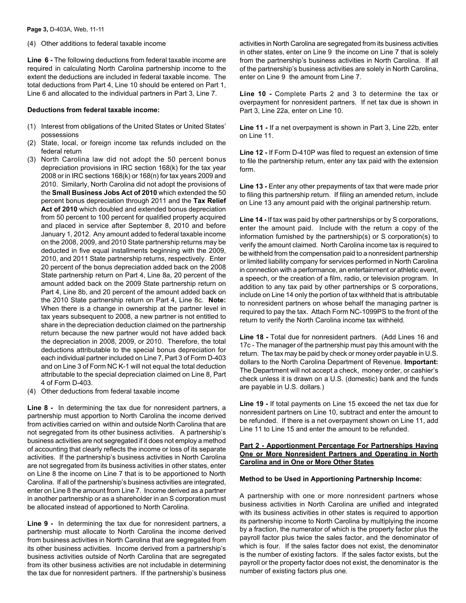### (4) Other additions to federal taxable income

**Line 6 -** The following deductions from federal taxable income are required in calculating North Carolina partnership income to the extent the deductions are included in federal taxable income. The total deductions from Part 4, Line 10 should be entered on Part 1, Line 6 and allocated to the individual partners in Part 3, Line 7.

## **Deductions from federal taxable income:**

- (1) Interest from obligations of the United States or United States' possessions
- (2) State, local, or foreign income tax refunds included on the federal return
- (3) North Carolina law did not adopt the 50 percent bonus depreciation provisions in IRC section 168(k) for the tax year 2008 or in IRC sections 168(k) or 168(n) for tax years 2009 and 2010. Similarly, North Carolina did not adopt the provisions of the **Small Business Jobs Act of 2010** which extended the 50 percent bonus depreciation through 2011 and the **Tax Relief Act of 2010** which doubled and extended bonus depreciation from 50 percent to 100 percent for qualified property acquired and placed in service after September 8, 2010 and before January 1, 2012. Any amount added to federal taxable income on the 2008, 2009, and 2010 State partnership returns may be deducted in five equal installments beginning with the 2009, 2010, and 2011 State partnership returns, respectively. Enter 20 percent of the bonus depreciation added back on the 2008 State partnership return on Part 4, Line 8a, 20 percent of the amount added back on the 2009 State partnership return on Part 4, Line 8b, and 20 percent of the amount added back on the 2010 State partnership return on Part 4, Line 8c. **Note:**  When there is a change in ownership at the partner level in tax years subsequent to 2008, a new partner is not entitled to share in the depreciation deduction claimed on the partnership return because the new partner would not have added back the depreciation in 2008, 2009, or 2010. Therefore, the total deductions attributable to the special bonus depreciation for each individual partner included on Line 7, Part 3 of Form D-403 and on Line 3 of Form NC K-1 will not equal the total deduction attributable to the special depreciation claimed on Line 8, Part 4 of Form D-403.
- (4) Other deductions from federal taxable income

**Line 8 -** In determining the tax due for nonresident partners, a partnership must apportion to North Carolina the income derived from activities carried on within and outside North Carolina that are not segregated from its other business activities. A partnership's business activities are not segregated if it does not employ a method of accounting that clearly reflects the income or loss of its separate activities. If the partnership's business activities in North Carolina are not segregated from its business activities in other states, enter on Line 8 the income on Line 7 that is to be apportioned to North Carolina. If all of the partnership's business activities are integrated, enter on Line 8 the amount from Line 7. Income derived as a partner in another partnership or as a shareholder in an S corporation must be allocated instead of apportioned to North Carolina.

**Line 9 -** In determining the tax due for nonresident partners, a partnership must allocate to North Carolina the income derived from business activities in North Carolina that are segregated from its other business activities. Income derived from a partnership's business activities outside of North Carolina that are segregated from its other business activities are not includable in determining the tax due for nonresident partners. If the partnership's business

activities in North Carolina are segregated from its business activities in other states, enter on Line 9 the income on Line 7 that is solely from the partnership's business activities in North Carolina. If all of the partnership's business activities are solely in North Carolina, enter on Line 9 the amount from Line 7.

**Line 10 -** Complete Parts 2 and 3 to determine the tax or overpayment for nonresident partners. If net tax due is shown in Part 3, Line 22a, enter on Line 10.

**Line 11 -** If a net overpayment is shown in Part 3, Line 22b, enter on Line 11.

**Line 12 -** If Form D-410P was filed to request an extension of time to file the partnership return, enter any tax paid with the extension form.

**Line 13 -** Enter any other prepayments of tax that were made prior to filing this partnership return. If filing an amended return, include on Line 13 any amount paid with the original partnership return.

**Line 14 -** If tax was paid by other partnerships or by S corporations, enter the amount paid. Include with the return a copy of the information furnished by the partnership(s) or S corporation(s) to verify the amount claimed. North Carolina income tax is required to be withheld from the compensation paid to a nonresident partnership or limited liability company for services performed in North Carolina in connection with a performance, an entertainment or athletic event, a speech, or the creation of a film, radio, or television program. In addition to any tax paid by other partnerships or S corporations, include on Line 14 only the portion of tax withheld that is attributable to nonresident partners on whose behalf the managing partner is required to pay the tax. Attach Form NC-1099PS to the front of the return to verify the North Carolina income tax withheld.

**Line 18 -** Total due for nonresident partners. (Add Lines 16 and 17c - The manager of the partnership must pay this amount with the return. The tax may be paid by check or money order payable in U.S. dollars to the North Carolina Department of Revenue. **Important:** The Department will not accept a check, money order, or cashier's check unless it is drawn on a U.S. (domestic) bank and the funds are payable in U.S. dollars.)

**Line 19 -** If total payments on Line 15 exceed the net tax due for nonresident partners on Line 10, subtract and enter the amount to be refunded. If there is a net overpayment shown on Line 11, add Line 11 to Line 15 and enter the amount to be refunded.

# **Part 2 - Apportionment Percentage For Partnerships Having One or More Nonresident Partners and Operating in North Carolina and in One or More Other States**

# **Method to be Used in Apportioning Partnership Income:**

A partnership with one or more nonresident partners whose business activities in North Carolina are unified and integrated with its business activities in other states is required to apportion its partnership income to North Carolina by multiplying the income by a fraction, the numerator of which is the property factor plus the payroll factor plus twice the sales factor, and the denominator of which is four. If the sales factor does not exist, the denominator is the number of existing factors. If the sales factor exists, but the payroll or the property factor does not exist, the denominator is the number of existing factors plus one.